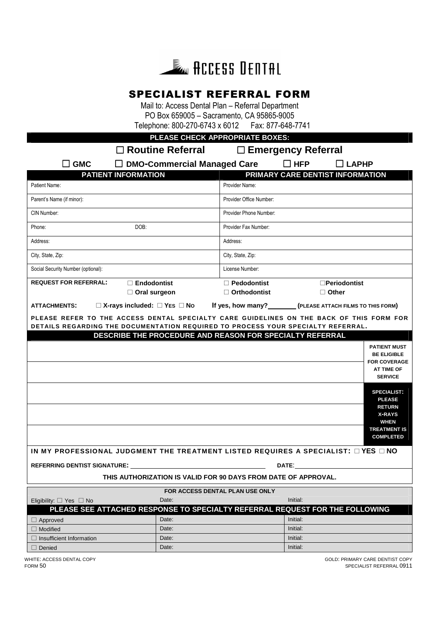

# SPECIALIST REFERRAL FORM

Mail to: Access Dental Plan – Referral Department PO Box 659005 – Sacramento, CA 95865-9005<br>ephone: 800-270-6743 x 6012 Fax: 877-648-7741 Telephone: 800-270-6743 x 6012

**PLEASE CHECK APPROPRIATE BOXES:**

**Routine Referral Emergency Referral** 

| $\square$ GMC                                                                                                                                                                                                                  | $\Box$ DMO-Commercial Managed Care |                                                                                                                                                                                                                                | $\Box$ HFP           | $\Box$ LAPHP                                                    |  |
|--------------------------------------------------------------------------------------------------------------------------------------------------------------------------------------------------------------------------------|------------------------------------|--------------------------------------------------------------------------------------------------------------------------------------------------------------------------------------------------------------------------------|----------------------|-----------------------------------------------------------------|--|
| <b>PATIENT INFORMATION</b>                                                                                                                                                                                                     |                                    |                                                                                                                                                                                                                                |                      | PRIMARY CARE DENTIST INFORMATION                                |  |
| Patient Name:                                                                                                                                                                                                                  |                                    | Provider Name:                                                                                                                                                                                                                 |                      |                                                                 |  |
| Parent's Name (if minor):                                                                                                                                                                                                      |                                    | Provider Office Number:                                                                                                                                                                                                        |                      |                                                                 |  |
| CIN Number:                                                                                                                                                                                                                    |                                    | Provider Phone Number:                                                                                                                                                                                                         |                      |                                                                 |  |
| DOB:<br>Phone:                                                                                                                                                                                                                 |                                    | Provider Fax Number:                                                                                                                                                                                                           |                      |                                                                 |  |
| Address:                                                                                                                                                                                                                       |                                    | Address:                                                                                                                                                                                                                       |                      |                                                                 |  |
| City, State, Zip:                                                                                                                                                                                                              |                                    | City, State, Zip:                                                                                                                                                                                                              |                      |                                                                 |  |
| Social Security Number (optional):                                                                                                                                                                                             |                                    | License Number:                                                                                                                                                                                                                |                      |                                                                 |  |
| <b>REQUEST FOR REFERRAL:</b><br>$\Box$ Endodontist                                                                                                                                                                             |                                    | $\Box$ Pedodontist                                                                                                                                                                                                             |                      | $\square$ Periodontist                                          |  |
| $\Box$ Oral surgeon                                                                                                                                                                                                            |                                    | $\Box$ Orthodontist                                                                                                                                                                                                            |                      | $\Box$ Other                                                    |  |
| $\Box$ X-rays included: $\Box$ Yes $\Box$ No<br><b>ATTACHMENTS:</b>                                                                                                                                                            |                                    |                                                                                                                                                                                                                                |                      | If yes, how many? __________ (PLEASE ATTACH FILMS TO THIS FORM) |  |
| PLEASE REFER TO THE ACCESS DENTAL SPECIALTY CARE GUIDELINES ON THE BACK OF THIS FORM FOR                                                                                                                                       |                                    |                                                                                                                                                                                                                                |                      |                                                                 |  |
| DETAILS REGARDING THE DOCUMENTATION REQUIRED TO PROCESS YOUR SPECIALTY REFERRAL.                                                                                                                                               |                                    |                                                                                                                                                                                                                                |                      |                                                                 |  |
|                                                                                                                                                                                                                                |                                    | DESCRIBE THE PROCEDURE AND REASON FOR SPECIALTY REFERRAL                                                                                                                                                                       |                      |                                                                 |  |
|                                                                                                                                                                                                                                |                                    |                                                                                                                                                                                                                                |                      | <b>PATIENT MUST</b>                                             |  |
|                                                                                                                                                                                                                                |                                    |                                                                                                                                                                                                                                |                      | <b>BE ELIGIBLE</b><br><b>FOR COVERAGE</b>                       |  |
|                                                                                                                                                                                                                                |                                    |                                                                                                                                                                                                                                |                      | <b>AT TIME OF</b>                                               |  |
|                                                                                                                                                                                                                                |                                    |                                                                                                                                                                                                                                |                      | <b>SERVICE</b>                                                  |  |
|                                                                                                                                                                                                                                |                                    |                                                                                                                                                                                                                                |                      | <b>SPECIALIST:</b>                                              |  |
|                                                                                                                                                                                                                                |                                    |                                                                                                                                                                                                                                |                      | <b>PLEASE</b>                                                   |  |
|                                                                                                                                                                                                                                |                                    |                                                                                                                                                                                                                                |                      | <b>RETURN</b><br><b>X-RAYS</b>                                  |  |
|                                                                                                                                                                                                                                |                                    |                                                                                                                                                                                                                                |                      | <b>WHEN</b>                                                     |  |
|                                                                                                                                                                                                                                |                                    |                                                                                                                                                                                                                                |                      | <b>TREATMENT IS</b>                                             |  |
|                                                                                                                                                                                                                                |                                    |                                                                                                                                                                                                                                |                      | <b>COMPLETED</b>                                                |  |
| IN MY PROFESSIONAL JUDGMENT THE TREATMENT LISTED REQUIRES A SPECIALIST: $\Box$ YES $\Box$ NO                                                                                                                                   |                                    |                                                                                                                                                                                                                                |                      |                                                                 |  |
| REFERRING DENTIST SIGNATURE: WAS ARRESTED FOR A 2000 FOR THE SERIES OF A 2000 FOR THE SERIES OF A 2000 FOR THE STATE OF A 2000 FOR THE STATE OF A 2000 FOR THE STATE OF A 2000 FOR THE STATE OF A 2000 FOR THE STATE OF A 2000 |                                    | DATE: the contract of the contract of the contract of the contract of the contract of the contract of the contract of the contract of the contract of the contract of the contract of the contract of the contract of the cont |                      |                                                                 |  |
| THIS AUTHORIZATION IS VALID FOR 90 DAYS FROM DATE OF APPROVAL.                                                                                                                                                                 |                                    |                                                                                                                                                                                                                                |                      |                                                                 |  |
|                                                                                                                                                                                                                                |                                    | FOR ACCESS DENTAL PLAN USE ONLY                                                                                                                                                                                                |                      |                                                                 |  |
| Eligibility: $\Box$ Yes $\Box$ No                                                                                                                                                                                              | Date:                              |                                                                                                                                                                                                                                | Initial:             |                                                                 |  |
| PLEASE SEE ATTACHED RESPONSE TO SPECIALTY REFERRAL REQUEST FOR THE FOLLOWING                                                                                                                                                   |                                    |                                                                                                                                                                                                                                |                      |                                                                 |  |
| $\Box$ Approved                                                                                                                                                                                                                | Date:<br>Date:                     |                                                                                                                                                                                                                                | Initial:<br>Initial: |                                                                 |  |
| $\Box$ Modified<br>$\Box$ Insufficient Information                                                                                                                                                                             | Date:                              |                                                                                                                                                                                                                                | Initial:             |                                                                 |  |
| $\Box$ Denied                                                                                                                                                                                                                  | Date:                              |                                                                                                                                                                                                                                | Initial:             |                                                                 |  |

WHITE: ACCESS DENTAL COPY GOLD: PRIMARY CARE DENTIST COPY FORM 50 SPECIALIST REFERRAL 0911